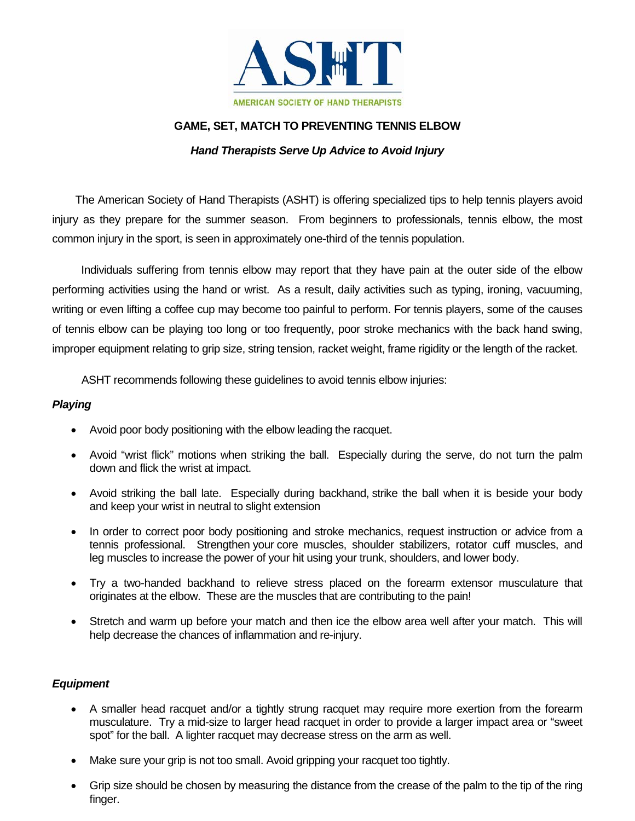

## **GAME, SET, MATCH TO PREVENTING TENNIS ELBOW**

## *Hand Therapists Serve Up Advice to Avoid Injury*

The American Society of Hand Therapists (ASHT) is offering specialized tips to help tennis players avoid injury as they prepare for the summer season. From beginners to professionals, tennis elbow, the most common injury in the sport, is seen in approximately one-third of the tennis population.

 Individuals suffering from tennis elbow may report that they have pain at the outer side of the elbow performing activities using the hand or wrist. As a result, daily activities such as typing, ironing, vacuuming, writing or even lifting a coffee cup may become too painful to perform. For tennis players, some of the causes of tennis elbow can be playing too long or too frequently, poor stroke mechanics with the back hand swing, improper equipment relating to grip size, string tension, racket weight, frame rigidity or the length of the racket.

ASHT recommends following these guidelines to avoid tennis elbow injuries:

## *Playing*

- Avoid poor body positioning with the elbow leading the racquet.
- Avoid "wrist flick" motions when striking the ball. Especially during the serve, do not turn the palm down and flick the wrist at impact.
- Avoid striking the ball late. Especially during backhand, strike the ball when it is beside your body and keep your wrist in neutral to slight extension
- In order to correct poor body positioning and stroke mechanics, request instruction or advice from a tennis professional. Strengthen your core muscles, shoulder stabilizers, rotator cuff muscles, and leg muscles to increase the power of your hit using your trunk, shoulders, and lower body.
- Try a two-handed backhand to relieve stress placed on the forearm extensor musculature that originates at the elbow. These are the muscles that are contributing to the pain!
- Stretch and warm up before your match and then ice the elbow area well after your match. This will help decrease the chances of inflammation and re-injury.

## *Equipment*

- A smaller head racquet and/or a tightly strung racquet may require more exertion from the forearm musculature. Try a mid-size to larger head racquet in order to provide a larger impact area or "sweet spot" for the ball. A lighter racquet may decrease stress on the arm as well.
- Make sure your grip is not too small. Avoid gripping your racquet too tightly.
- Grip size should be chosen by measuring the distance from the crease of the palm to the tip of the ring finger.